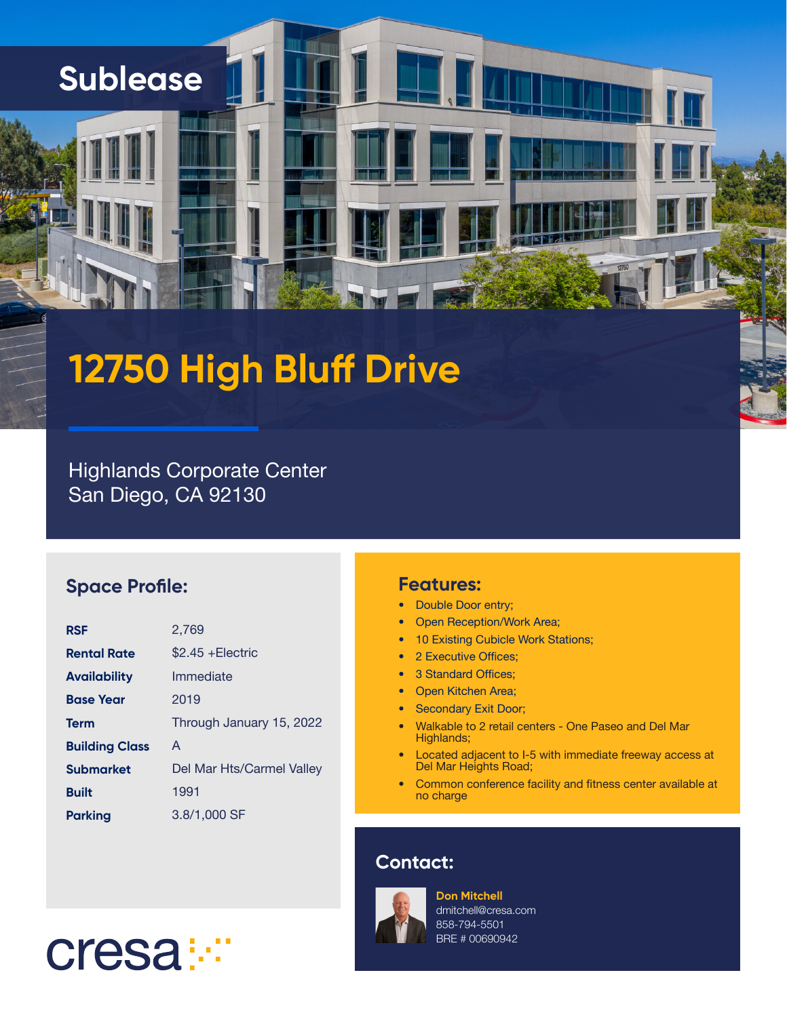### **Sublease**

# **12750 High Bluff Drive**

Highlands Corporate Center San Diego, CA 92130

#### **Space Profile:**

| <b>RSF</b>            | 2.769                     |
|-----------------------|---------------------------|
| <b>Rental Rate</b>    | $$2.45 + Electric$        |
| <b>Availability</b>   | Immediate                 |
| <b>Base Year</b>      | 2019                      |
| <b>Term</b>           | Through January 15, 2022  |
| <b>Building Class</b> | A                         |
| <b>Submarket</b>      | Del Mar Hts/Carmel Valley |
| <b>Built</b>          | 1991                      |
| Parking               | 3.8/1,000 SF              |

#### **Features:**

- Double Door entry;
- Open Reception/Work Area;
- 10 Existing Cubicle Work Stations;
- 2 Executive Offices;
- 3 Standard Offices;
- Open Kitchen Area;
- Secondary Exit Door;
- Walkable to 2 retail centers One Paseo and Del Mar Highlands;
- Located adjacent to I-5 with immediate freeway access at Del Mar Heights Road;
- Common conference facility and fitness center available at no charge

#### **Contact:**



**Don Mitchell** dmitchell@cresa.com 858-794-5501 BRE # 00690942